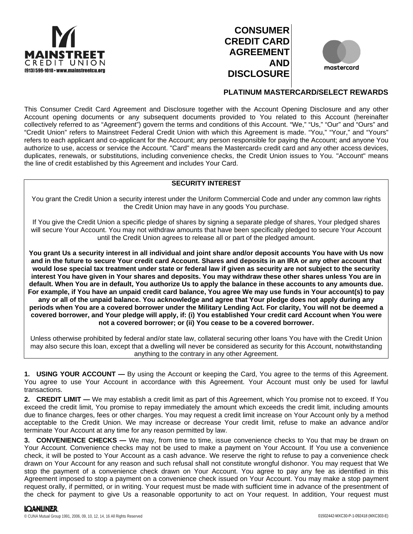





# **PLATINUM MASTERCARD/SELECT REWARDS**

This Consumer Credit Card Agreement and Disclosure together with the Account Opening Disclosure and any other Account opening documents or any subsequent documents provided to You related to this Account (hereinafter collectively referred to as "Agreement") govern the terms and conditions of this Account. "We," "Us," "Our" and "Ours" and "Credit Union" refers to Mainstreet Federal Credit Union with which this Agreement is made. "You," "Your," and "Yours" refers to each applicant and co-applicant for the Account; any person responsible for paying the Account; and anyone You authorize to use, access or service the Account. "Card" means the Mastercard® credit card and any other access devices, duplicates, renewals, or substitutions, including convenience checks, the Credit Union issues to You. "Account" means the line of credit established by this Agreement and includes Your Card.

### **SECURITY INTEREST**

You grant the Credit Union a security interest under the Uniform Commercial Code and under any common law rights the Credit Union may have in any goods You purchase.

If You give the Credit Union a specific pledge of shares by signing a separate pledge of shares, Your pledged shares will secure Your Account. You may not withdraw amounts that have been specifically pledged to secure Your Account until the Credit Union agrees to release all or part of the pledged amount.

**You grant Us a security interest in all individual and joint share and/or deposit accounts You have with Us now and in the future to secure Your credit card Account. Shares and deposits in an IRA or any other account that would lose special tax treatment under state or federal law if given as security are not subject to the security interest You have given in Your shares and deposits. You may withdraw these other shares unless You are in default. When You are in default, You authorize Us to apply the balance in these accounts to any amounts due. For example, if You have an unpaid credit card balance, You agree We may use funds in Your account(s) to pay any or all of the unpaid balance. You acknowledge and agree that Your pledge does not apply during any periods when You are a covered borrower under the Military Lending Act. For clarity, You will not be deemed a covered borrower, and Your pledge will apply, if: (i) You established Your credit card Account when You were not a covered borrower; or (ii) You cease to be a covered borrower.**

Unless otherwise prohibited by federal and/or state law, collateral securing other loans You have with the Credit Union may also secure this loan, except that a dwelling will never be considered as security for this Account, notwithstanding anything to the contrary in any other Agreement.

**1. USING YOUR ACCOUNT —** By using the Account or keeping the Card, You agree to the terms of this Agreement. You agree to use Your Account in accordance with this Agreement. Your Account must only be used for lawful transactions.

**2. CREDIT LIMIT —** We may establish a credit limit as part of this Agreement, which You promise not to exceed. If You exceed the credit limit, You promise to repay immediately the amount which exceeds the credit limit, including amounts due to finance charges, fees or other charges. You may request a credit limit increase on Your Account only by a method acceptable to the Credit Union. We may increase or decrease Your credit limit, refuse to make an advance and/or terminate Your Account at any time for any reason permitted by law.

**3. CONVENIENCE CHECKS —** We may, from time to time, issue convenience checks to You that may be drawn on Your Account. Convenience checks may not be used to make a payment on Your Account. If You use a convenience check, it will be posted to Your Account as a cash advance. We reserve the right to refuse to pay a convenience check drawn on Your Account for any reason and such refusal shall not constitute wrongful dishonor. You may request that We stop the payment of a convenience check drawn on Your Account. You agree to pay any fee as identified in this Agreement imposed to stop a payment on a convenience check issued on Your Account. You may make a stop payment request orally, if permitted, or in writing. Your request must be made with sufficient time in advance of the presentment of the check for payment to give Us a reasonable opportunity to act on Your request. In addition, Your request must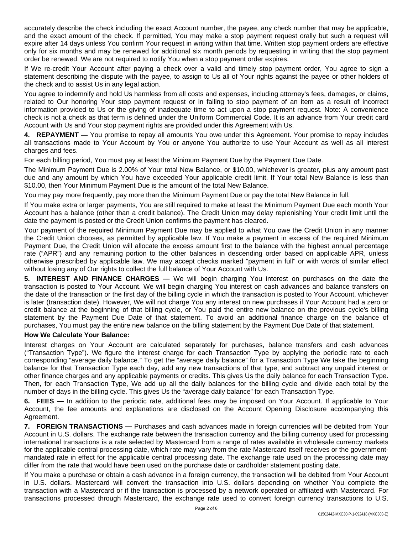accurately describe the check including the exact Account number, the payee, any check number that may be applicable, and the exact amount of the check. If permitted, You may make a stop payment request orally but such a request will expire after 14 days unless You confirm Your request in writing within that time. Written stop payment orders are effective only for six months and may be renewed for additional six month periods by requesting in writing that the stop payment order be renewed. We are not required to notify You when a stop payment order expires.

If We re-credit Your Account after paying a check over a valid and timely stop payment order, You agree to sign a statement describing the dispute with the payee, to assign to Us all of Your rights against the payee or other holders of the check and to assist Us in any legal action.

You agree to indemnify and hold Us harmless from all costs and expenses, including attorney's fees, damages, or claims, related to Our honoring Your stop payment request or in failing to stop payment of an item as a result of incorrect information provided to Us or the giving of inadequate time to act upon a stop payment request. Note: A convenience check is not a check as that term is defined under the Uniform Commercial Code. It is an advance from Your credit card Account with Us and Your stop payment rights are provided under this Agreement with Us.

**4. REPAYMENT —** You promise to repay all amounts You owe under this Agreement. Your promise to repay includes all transactions made to Your Account by You or anyone You authorize to use Your Account as well as all interest charges and fees.

For each billing period, You must pay at least the Minimum Payment Due by the Payment Due Date.

The Minimum Payment Due is 2.00% of Your total New Balance, or \$10.00, whichever is greater, plus any amount past due and any amount by which You have exceeded Your applicable credit limit. If Your total New Balance is less than \$10.00, then Your Minimum Payment Due is the amount of the total New Balance.

You may pay more frequently, pay more than the Minimum Payment Due or pay the total New Balance in full.

If You make extra or larger payments, You are still required to make at least the Minimum Payment Due each month Your Account has a balance (other than a credit balance). The Credit Union may delay replenishing Your credit limit until the date the payment is posted or the Credit Union confirms the payment has cleared.

Your payment of the required Minimum Payment Due may be applied to what You owe the Credit Union in any manner the Credit Union chooses, as permitted by applicable law. If You make a payment in excess of the required Minimum Payment Due, the Credit Union will allocate the excess amount first to the balance with the highest annual percentage rate ("APR") and any remaining portion to the other balances in descending order based on applicable APR, unless otherwise prescribed by applicable law. We may accept checks marked "payment in full" or with words of similar effect without losing any of Our rights to collect the full balance of Your Account with Us.

**5. INTEREST AND FINANCE CHARGES —** We will begin charging You interest on purchases on the date the transaction is posted to Your Account. We will begin charging You interest on cash advances and balance transfers on the date of the transaction or the first day of the billing cycle in which the transaction is posted to Your Account, whichever is later (transaction date). However, We will not charge You any interest on new purchases if Your Account had a zero or credit balance at the beginning of that billing cycle, or You paid the entire new balance on the previous cycle's billing statement by the Payment Due Date of that statement. To avoid an additional finance charge on the balance of purchases, You must pay the entire new balance on the billing statement by the Payment Due Date of that statement.

### **How We Calculate Your Balance:**

Interest charges on Your Account are calculated separately for purchases, balance transfers and cash advances ("Transaction Type"). We figure the interest charge for each Transaction Type by applying the periodic rate to each corresponding "average daily balance." To get the "average daily balance" for a Transaction Type We take the beginning balance for that Transaction Type each day, add any new transactions of that type, and subtract any unpaid interest or other finance charges and any applicable payments or credits. This gives Us the daily balance for each Transaction Type. Then, for each Transaction Type, We add up all the daily balances for the billing cycle and divide each total by the number of days in the billing cycle. This gives Us the "average daily balance" for each Transaction Type.

**6. FEES —** In addition to the periodic rate, additional fees may be imposed on Your Account. If applicable to Your Account, the fee amounts and explanations are disclosed on the Account Opening Disclosure accompanying this Agreement.

**7. FOREIGN TRANSACTIONS —** Purchases and cash advances made in foreign currencies will be debited from Your Account in U.S. dollars. The exchange rate between the transaction currency and the billing currency used for processing international transactions is a rate selected by Mastercard from a range of rates available in wholesale currency markets for the applicable central processing date, which rate may vary from the rate Mastercard itself receives or the governmentmandated rate in effect for the applicable central processing date. The exchange rate used on the processing date may differ from the rate that would have been used on the purchase date or cardholder statement posting date.

If You make a purchase or obtain a cash advance in a foreign currency, the transaction will be debited from Your Account in U.S. dollars. Mastercard will convert the transaction into U.S. dollars depending on whether You complete the transaction with a Mastercard or if the transaction is processed by a network operated or affiliated with Mastercard. For transactions processed through Mastercard, the exchange rate used to convert foreign currency transactions to U.S.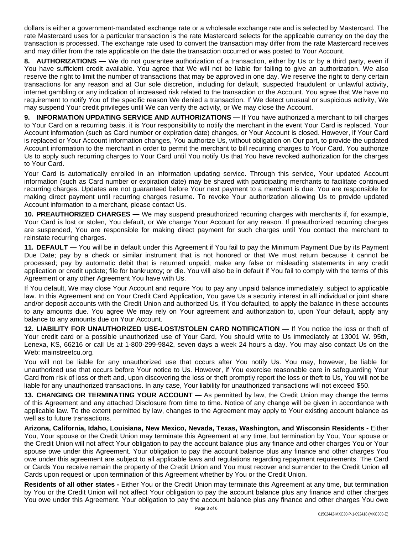dollars is either a government-mandated exchange rate or a wholesale exchange rate and is selected by Mastercard. The rate Mastercard uses for a particular transaction is the rate Mastercard selects for the applicable currency on the day the transaction is processed. The exchange rate used to convert the transaction may differ from the rate Mastercard receives and may differ from the rate applicable on the date the transaction occurred or was posted to Your Account.

**8. AUTHORIZATIONS —** We do not guarantee authorization of a transaction, either by Us or by a third party, even if You have sufficient credit available. You agree that We will not be liable for failing to give an authorization. We also reserve the right to limit the number of transactions that may be approved in one day. We reserve the right to deny certain transactions for any reason and at Our sole discretion, including for default, suspected fraudulent or unlawful activity, internet gambling or any indication of increased risk related to the transaction or the Account. You agree that We have no requirement to notify You of the specific reason We denied a transaction. If We detect unusual or suspicious activity, We may suspend Your credit privileges until We can verify the activity, or We may close the Account.

**9. INFORMATION UPDATING SERVICE AND AUTHORIZATIONS —** If You have authorized a merchant to bill charges to Your Card on a recurring basis, it is Your responsibility to notify the merchant in the event Your Card is replaced, Your Account information (such as Card number or expiration date) changes, or Your Account is closed. However, if Your Card is replaced or Your Account information changes, You authorize Us, without obligation on Our part, to provide the updated Account information to the merchant in order to permit the merchant to bill recurring charges to Your Card. You authorize Us to apply such recurring charges to Your Card until You notify Us that You have revoked authorization for the charges to Your Card.

Your Card is automatically enrolled in an information updating service. Through this service, Your updated Account information (such as Card number or expiration date) may be shared with participating merchants to facilitate continued recurring charges. Updates are not guaranteed before Your next payment to a merchant is due. You are responsible for making direct payment until recurring charges resume. To revoke Your authorization allowing Us to provide updated Account information to a merchant, please contact Us.

**10. PREAUTHORIZED CHARGES —** We may suspend preauthorized recurring charges with merchants if, for example, Your Card is lost or stolen, You default, or We change Your Account for any reason. If preauthorized recurring charges are suspended, You are responsible for making direct payment for such charges until You contact the merchant to reinstate recurring charges.

**11. DEFAULT —** You will be in default under this Agreement if You fail to pay the Minimum Payment Due by its Payment Due Date; pay by a check or similar instrument that is not honored or that We must return because it cannot be processed; pay by automatic debit that is returned unpaid; make any false or misleading statements in any credit application or credit update; file for bankruptcy; or die. You will also be in default if You fail to comply with the terms of this Agreement or any other Agreement You have with Us.

If You default, We may close Your Account and require You to pay any unpaid balance immediately, subject to applicable law. In this Agreement and on Your Credit Card Application, You gave Us a security interest in all individual or joint share and/or deposit accounts with the Credit Union and authorized Us, if You defaulted, to apply the balance in these accounts to any amounts due. You agree We may rely on Your agreement and authorization to, upon Your default, apply any balance to any amounts due on Your Account.

**12. LIABILITY FOR UNAUTHORIZED USE-LOST/STOLEN CARD NOTIFICATION —** If You notice the loss or theft of Your credit card or a possible unauthorized use of Your Card, You should write to Us immediately at 13001 W. 95th, Lenexa, KS, 66216 or call Us at 1-800-299-9842, seven days a week 24 hours a day. You may also contact Us on the Web: mainstreetcu.org.

You will not be liable for any unauthorized use that occurs after You notify Us. You may, however, be liable for unauthorized use that occurs before Your notice to Us. However, if You exercise reasonable care in safeguarding Your Card from risk of loss or theft and, upon discovering the loss or theft promptly report the loss or theft to Us, You will not be liable for any unauthorized transactions. In any case, Your liability for unauthorized transactions will not exceed \$50.

**13. CHANGING OR TERMINATING YOUR ACCOUNT —** As permitted by law, the Credit Union may change the terms of this Agreement and any attached Disclosure from time to time. Notice of any change will be given in accordance with applicable law. To the extent permitted by law, changes to the Agreement may apply to Your existing account balance as well as to future transactions.

**Arizona, California, Idaho, Louisiana, New Mexico, Nevada, Texas, Washington, and Wisconsin Residents -** Either You, Your spouse or the Credit Union may terminate this Agreement at any time, but termination by You, Your spouse or the Credit Union will not affect Your obligation to pay the account balance plus any finance and other charges You or Your spouse owe under this Agreement. Your obligation to pay the account balance plus any finance and other charges You owe under this agreement are subject to all applicable laws and regulations regarding repayment requirements. The Card or Cards You receive remain the property of the Credit Union and You must recover and surrender to the Credit Union all Cards upon request or upon termination of this Agreement whether by You or the Credit Union.

**Residents of all other states -** Either You or the Credit Union may terminate this Agreement at any time, but termination by You or the Credit Union will not affect Your obligation to pay the account balance plus any finance and other charges You owe under this Agreement. Your obligation to pay the account balance plus any finance and other charges You owe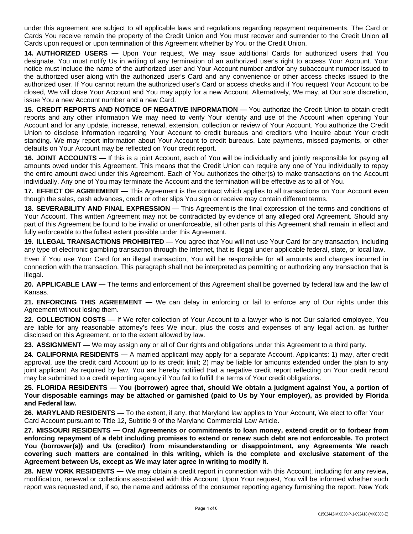under this agreement are subject to all applicable laws and regulations regarding repayment requirements. The Card or Cards You receive remain the property of the Credit Union and You must recover and surrender to the Credit Union all Cards upon request or upon termination of this Agreement whether by You or the Credit Union.

**14. AUTHORIZED USERS —** Upon Your request, We may issue additional Cards for authorized users that You designate. You must notify Us in writing of any termination of an authorized user's right to access Your Account. Your notice must include the name of the authorized user and Your Account number and/or any subaccount number issued to the authorized user along with the authorized user's Card and any convenience or other access checks issued to the authorized user. If You cannot return the authorized user's Card or access checks and if You request Your Account to be closed, We will close Your Account and You may apply for a new Account. Alternatively, We may, at Our sole discretion, issue You a new Account number and a new Card.

**15. CREDIT REPORTS AND NOTICE OF NEGATIVE INFORMATION —** You authorize the Credit Union to obtain credit reports and any other information We may need to verify Your identity and use of the Account when opening Your Account and for any update, increase, renewal, extension, collection or review of Your Account. You authorize the Credit Union to disclose information regarding Your Account to credit bureaus and creditors who inquire about Your credit standing. We may report information about Your Account to credit bureaus. Late payments, missed payments, or other defaults on Your Account may be reflected on Your credit report.

**16. JOINT ACCOUNTS —** If this is a joint Account, each of You will be individually and jointly responsible for paying all amounts owed under this Agreement. This means that the Credit Union can require any one of You individually to repay the entire amount owed under this Agreement. Each of You authorizes the other(s) to make transactions on the Account individually. Any one of You may terminate the Account and the termination will be effective as to all of You.

**17. EFFECT OF AGREEMENT —** This Agreement is the contract which applies to all transactions on Your Account even though the sales, cash advances, credit or other slips You sign or receive may contain different terms.

**18. SEVERABILITY AND FINAL EXPRESSION —** This Agreement is the final expression of the terms and conditions of Your Account. This written Agreement may not be contradicted by evidence of any alleged oral Agreement. Should any part of this Agreement be found to be invalid or unenforceable, all other parts of this Agreement shall remain in effect and fully enforceable to the fullest extent possible under this Agreement.

**19. ILLEGAL TRANSACTIONS PROHIBITED —** You agree that You will not use Your Card for any transaction, including any type of electronic gambling transaction through the Internet, that is illegal under applicable federal, state, or local law.

Even if You use Your Card for an illegal transaction, You will be responsible for all amounts and charges incurred in connection with the transaction. This paragraph shall not be interpreted as permitting or authorizing any transaction that is illegal.

**20. APPLICABLE LAW —** The terms and enforcement of this Agreement shall be governed by federal law and the law of Kansas.

**21. ENFORCING THIS AGREEMENT —** We can delay in enforcing or fail to enforce any of Our rights under this Agreement without losing them.

**22. COLLECTION COSTS —** If We refer collection of Your Account to a lawyer who is not Our salaried employee, You are liable for any reasonable attorney's fees We incur, plus the costs and expenses of any legal action, as further disclosed on this Agreement, or to the extent allowed by law.

**23. ASSIGNMENT —** We may assign any or all of Our rights and obligations under this Agreement to a third party.

**24. CALIFORNIA RESIDENTS —** A married applicant may apply for a separate Account. Applicants: 1) may, after credit approval, use the credit card Account up to its credit limit; 2) may be liable for amounts extended under the plan to any joint applicant. As required by law, You are hereby notified that a negative credit report reflecting on Your credit record may be submitted to a credit reporting agency if You fail to fulfill the terms of Your credit obligations.

25. FLORIDA RESIDENTS — You (borrower) agree that, should We obtain a judgment against You, a portion of Your disposable earnings may be attached or garnished (paid to Us by Your employer), as provided by Florida **and Federal law.**

**26. MARYLAND RESIDENTS —** To the extent, if any, that Maryland law applies to Your Account, We elect to offer Your Card Account pursuant to Title 12, Subtitle 9 of the Maryland Commercial Law Article.

**27. MISSOURI RESIDENTS — Oral Agreements or commitments to loan money, extend credit or to forbear from** enforcing repayment of a debt including promises to extend or renew such debt are not enforceable. To protect **You (borrower(s)) and Us (creditor) from misunderstanding or disappointment, any Agreements We reach covering such matters are contained in this writing, which is the complete and exclusive statement of the Agreement between Us, except as We may later agree in writing to modify it.**

**28. NEW YORK RESIDENTS —** We may obtain a credit report in connection with this Account, including for any review, modification, renewal or collections associated with this Account. Upon Your request, You will be informed whether such report was requested and, if so, the name and address of the consumer reporting agency furnishing the report. New York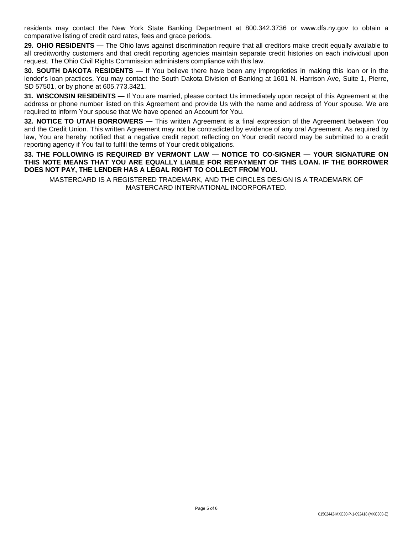residents may contact the New York State Banking Department at 800.342.3736 or www.dfs.ny.gov to obtain a comparative listing of credit card rates, fees and grace periods.

**29. OHIO RESIDENTS —** The Ohio laws against discrimination require that all creditors make credit equally available to all creditworthy customers and that credit reporting agencies maintain separate credit histories on each individual upon request. The Ohio Civil Rights Commission administers compliance with this law.

**30. SOUTH DAKOTA RESIDENTS —** If You believe there have been any improprieties in making this loan or in the lender's loan practices, You may contact the South Dakota Division of Banking at 1601 N. Harrison Ave, Suite 1, Pierre, SD 57501, or by phone at 605.773.3421.

**31. WISCONSIN RESIDENTS —** If You are married, please contact Us immediately upon receipt of this Agreement at the address or phone number listed on this Agreement and provide Us with the name and address of Your spouse. We are required to inform Your spouse that We have opened an Account for You.

**32. NOTICE TO UTAH BORROWERS —** This written Agreement is a final expression of the Agreement between You and the Credit Union. This written Agreement may not be contradicted by evidence of any oral Agreement. As required by law, You are hereby notified that a negative credit report reflecting on Your credit record may be submitted to a credit reporting agency if You fail to fulfill the terms of Your credit obligations.

**33. THE FOLLOWING IS REQUIRED BY VERMONT LAW — NOTICE TO CO-SIGNER — YOUR SIGNATURE ON THIS NOTE MEANS THAT YOU ARE EQUALLY LIABLE FOR REPAYMENT OF THIS LOAN. IF THE BORROWER DOES NOT PAY, THE LENDER HAS A LEGAL RIGHT TO COLLECT FROM YOU.**

MASTERCARD IS A REGISTERED TRADEMARK, AND THE CIRCLES DESIGN IS A TRADEMARK OF MASTERCARD INTERNATIONAL INCORPORATED.